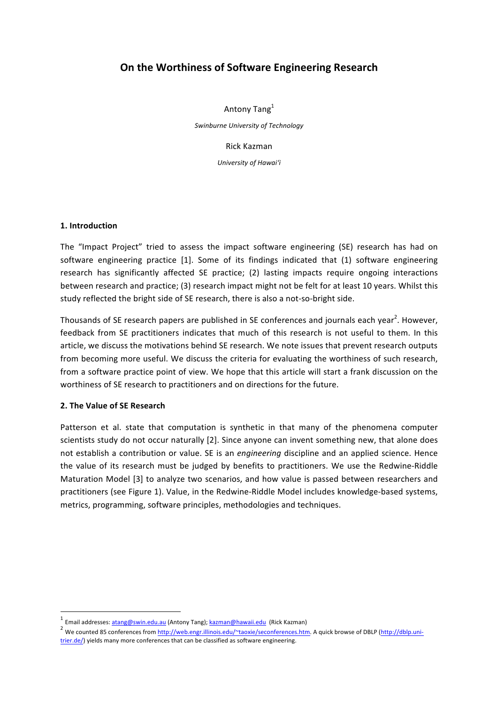# **On the Worthiness of Software Engineering Research**

Antony Tang<sup>1</sup> *Swinburne University of Technology*

> Rick Kazman *University of Hawai'i*

**1. Introduction**

The "Impact Project" tried to assess the impact software engineering (SE) research has had on software engineering practice [1]. Some of its findings indicated that (1) software engineering research has significantly affected SE practice; (2) lasting impacts require ongoing interactions between research and practice; (3) research impact might not be felt for at least 10 years. Whilst this study reflected the bright side of SE research, there is also a not-so-bright side.

Thousands of SE research papers are published in SE conferences and journals each year<sup>2</sup>. However, feedback from SE practitioners indicates that much of this research is not useful to them. In this article, we discuss the motivations behind SE research. We note issues that prevent research outputs from becoming more useful. We discuss the criteria for evaluating the worthiness of such research, from a software practice point of view. We hope that this article will start a frank discussion on the worthiness of SE research to practitioners and on directions for the future.

### **2.** The Value of SE Research

 

Patterson et al. state that computation is synthetic in that many of the phenomena computer scientists study do not occur naturally [2]. Since anyone can invent something new, that alone does not establish a contribution or value. SE is an *engineering* discipline and an applied science. Hence the value of its research must be judged by benefits to practitioners. We use the Redwine-Riddle Maturation Model [3] to analyze two scenarios, and how value is passed between researchers and practitioners (see Figure 1). Value, in the Redwine-Riddle Model includes knowledge-based systems, metrics, programming, software principles, methodologies and techniques.

 $<sup>1</sup>$  Email addresses: atang@swin.edu.au (Antony Tang); kazman@hawaii.edu (Rick Kazman)</sup>

<sup>&</sup>lt;sup>2</sup> We counted 85 conferences from http://web.engr.illinois.edu/~taoxie/seconferences.htm. A quick browse of DBLP (http://dblp.unitrier.de/) yields many more conferences that can be classified as software engineering.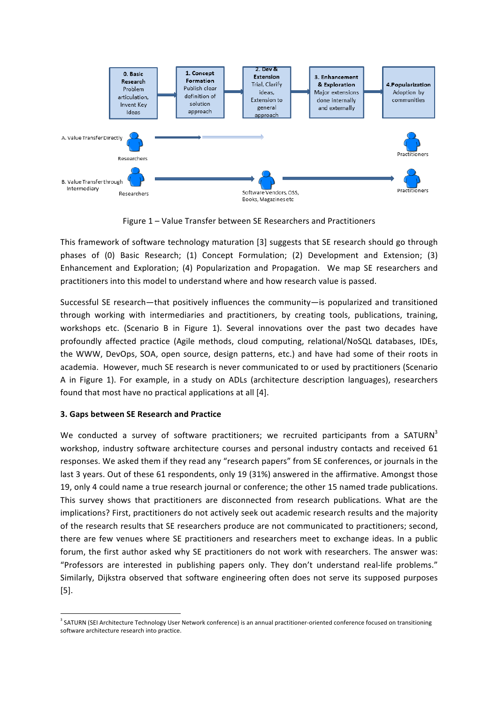

Figure 1 – Value Transfer between SE Researchers and Practitioners

This framework of software technology maturation [3] suggests that SE research should go through phases of (0) Basic Research; (1) Concept Formulation; (2) Development and Extension; (3) Enhancement and Exploration; (4) Popularization and Propagation. We map SE researchers and practitioners into this model to understand where and how research value is passed.

Successful SE research—that positively influences the community—is popularized and transitioned through working with intermediaries and practitioners, by creating tools, publications, training, workshops etc. (Scenario B in Figure 1). Several innovations over the past two decades have profoundly affected practice (Agile methods, cloud computing, relational/NoSQL databases, IDEs, the WWW, DevOps, SOA, open source, design patterns, etc.) and have had some of their roots in academia. However, much SE research is never communicated to or used by practitioners (Scenario A in Figure 1). For example, in a study on ADLs (architecture description languages), researchers found that most have no practical applications at all [4].

# **3. Gaps between SE Research and Practice**

<u> 1989 - Johann Barn, mars ann an t-Amhain an t-Amhain an t-Amhain an t-Amhain an t-Amhain an t-Amhain an t-Amh</u>

We conducted a survey of software practitioners; we recruited participants from a SATURN3 workshop, industry software architecture courses and personal industry contacts and received 61 responses. We asked them if they read any "research papers" from SE conferences, or journals in the last 3 years. Out of these 61 respondents, only 19 (31%) answered in the affirmative. Amongst those 19, only 4 could name a true research journal or conference; the other 15 named trade publications. This survey shows that practitioners are disconnected from research publications. What are the implications? First, practitioners do not actively seek out academic research results and the majority of the research results that SE researchers produce are not communicated to practitioners; second, there are few venues where SE practitioners and researchers meet to exchange ideas. In a public forum, the first author asked why SE practitioners do not work with researchers. The answer was: "Professors are interested in publishing papers only. They don't understand real-life problems." Similarly, Dijkstra observed that software engineering often does not serve its supposed purposes [5]. 

<sup>&</sup>lt;sup>3</sup> SATURN (SEI Architecture Technology User Network conference) is an annual practitioner-oriented conference focused on transitioning software architecture research into practice.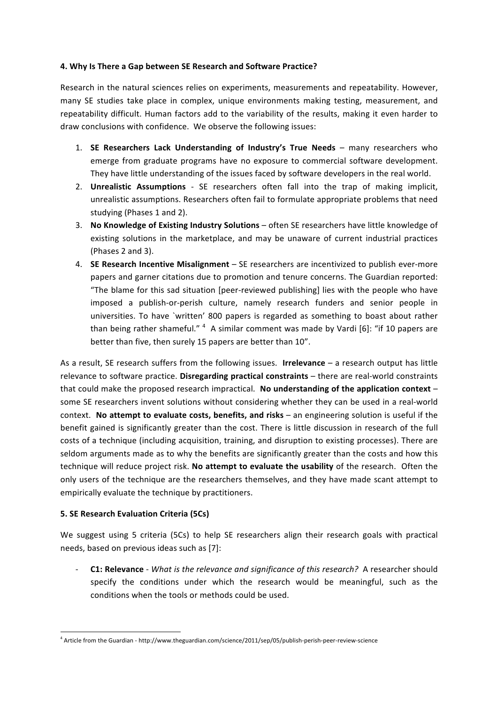## **4. Why Is There a Gap between SE Research and Software Practice?**

Research in the natural sciences relies on experiments, measurements and repeatability. However, many SE studies take place in complex, unique environments making testing, measurement, and repeatability difficult. Human factors add to the variability of the results, making it even harder to draw conclusions with confidence. We observe the following issues:

- 1. **SE Researchers Lack Understanding of Industry's True Needs** many researchers who emerge from graduate programs have no exposure to commercial software development. They have little understanding of the issues faced by software developers in the real world.
- 2. **Unrealistic Assumptions** SE researchers often fall into the trap of making implicit, unrealistic assumptions. Researchers often fail to formulate appropriate problems that need studying (Phases 1 and 2).
- 3. No Knowledge of Existing Industry Solutions often SE researchers have little knowledge of existing solutions in the marketplace, and may be unaware of current industrial practices (Phases 2 and 3).
- 4. **SE Research Incentive Misalignment** SE researchers are incentivized to publish ever-more papers and garner citations due to promotion and tenure concerns. The Guardian reported: "The blame for this sad situation [peer-reviewed publishing] lies with the people who have imposed a publish-or-perish culture, namely research funders and senior people in universities. To have `written' 800 papers is regarded as something to boast about rather than being rather shameful."  $^4$  A similar comment was made by Vardi [6]: "if 10 papers are better than five, then surely 15 papers are better than 10".

As a result, SE research suffers from the following issues. **Irrelevance** – a research output has little relevance to software practice. Disregarding practical constraints – there are real-world constraints that could make the proposed research impractical. No understanding of the application context – some SE researchers invent solutions without considering whether they can be used in a real-world context. No attempt to evaluate costs, benefits, and risks - an engineering solution is useful if the benefit gained is significantly greater than the cost. There is little discussion in research of the full costs of a technique (including acquisition, training, and disruption to existing processes). There are seldom arguments made as to why the benefits are significantly greater than the costs and how this technique will reduce project risk. No attempt to evaluate the usability of the research. Often the only users of the technique are the researchers themselves, and they have made scant attempt to empirically evaluate the technique by practitioners.

# **5. SE Research Evaluation Criteria (5Cs)**

<u> 1989 - Johann Barn, mars ann an t-Amhain an t-Amhain an t-Amhain an t-Amhain an t-Amhain an t-Amhain an t-Amh</u>

We suggest using 5 criteria (5Cs) to help SE researchers align their research goals with practical needs, based on previous ideas such as [7]:

**C1: Relevance** - *What is the relevance and significance of this research?* A researcher should specify the conditions under which the research would be meaningful, such as the conditions when the tools or methods could be used.

<sup>&</sup>lt;sup>4</sup> Article from the Guardian - http://www.theguardian.com/science/2011/sep/05/publish-perish-peer-review-science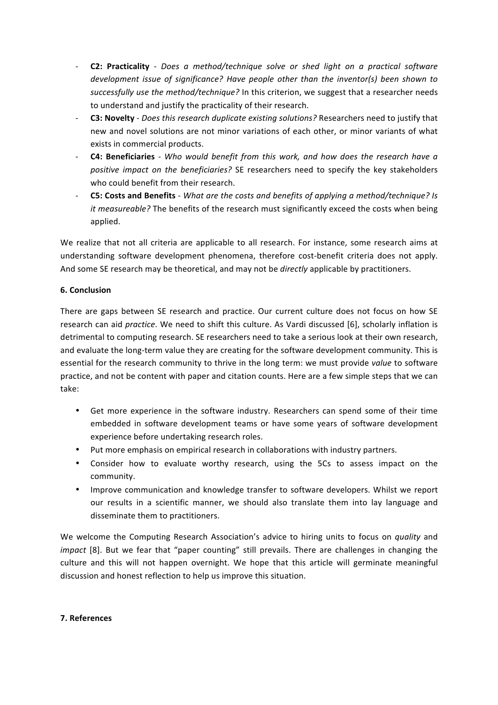- **C2: Practicality** *Does a method/technique solve or shed light on a practical software development issue of significance?* Have people other than the inventor(s) been shown to successfully use the method/technique? In this criterion, we suggest that a researcher needs to understand and justify the practicality of their research.
- C3: Novelty *Does this research duplicate existing solutions?* Researchers need to justify that new and novel solutions are not minor variations of each other, or minor variants of what exists in commercial products.
- **C4: Beneficiaries** *Who would benefit from this work, and how does the research have a* positive impact on the beneficiaries? SE researchers need to specify the key stakeholders who could benefit from their research.
- C5: Costs and Benefits *What are the costs and benefits of applying a method/technique? Is it measureable?* The benefits of the research must significantly exceed the costs when being applied.

We realize that not all criteria are applicable to all research. For instance, some research aims at understanding software development phenomena, therefore cost-benefit criteria does not apply. And some SE research may be theoretical, and may not be *directly* applicable by practitioners.

# **6. Conclusion**

There are gaps between SE research and practice. Our current culture does not focus on how SE research can aid *practice*. We need to shift this culture. As Vardi discussed [6], scholarly inflation is detrimental to computing research. SE researchers need to take a serious look at their own research, and evaluate the long-term value they are creating for the software development community. This is essential for the research community to thrive in the long term: we must provide *value* to software practice, and not be content with paper and citation counts. Here are a few simple steps that we can take:

- Get more experience in the software industry. Researchers can spend some of their time embedded in software development teams or have some years of software development experience before undertaking research roles.
- Put more emphasis on empirical research in collaborations with industry partners.
- Consider how to evaluate worthy research, using the 5Cs to assess impact on the community.
- Improve communication and knowledge transfer to software developers. Whilst we report our results in a scientific manner, we should also translate them into lay language and disseminate them to practitioners.

We welcome the Computing Research Association's advice to hiring units to focus on *quality* and *impact* [8]. But we fear that "paper counting" still prevails. There are challenges in changing the culture and this will not happen overnight. We hope that this article will germinate meaningful discussion and honest reflection to help us improve this situation.

### **7. References**